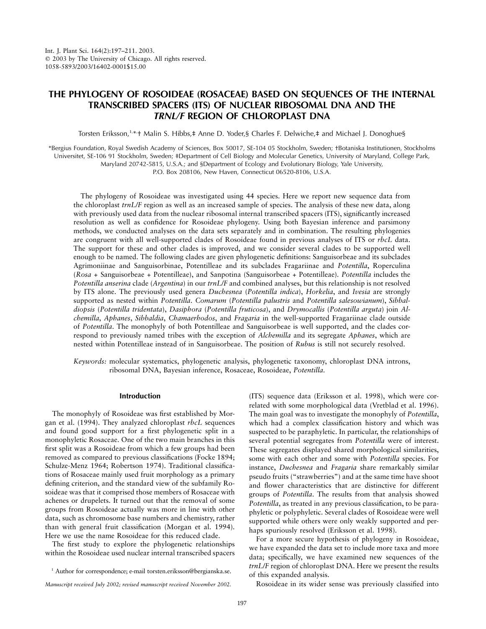# **THE PHYLOGENY OF ROSOIDEAE (ROSACEAE) BASED ON SEQUENCES OF THE INTERNAL TRANSCRIBED SPACERS (ITS) OF NUCLEAR RIBOSOMAL DNA AND THE** *TRNL/F* **REGION OF CHLOROPLAST DNA**

Torsten Eriksson,<sup>1,</sup>\*<sup>,</sup>t Malin S. Hibbs,‡ Anne D. Yoder,§ Charles F. Delwiche,‡ and Michael J. Donoghue§

\*Bergius Foundation, Royal Swedish Academy of Sciences, Box 50017, SE-104 05 Stockholm, Sweden; †Botaniska Institutionen, Stockholms Universitet, SE-106 91 Stockholm, Sweden; ‡Department of Cell Biology and Molecular Genetics, University of Maryland, College Park, Maryland 20742-5815, U.S.A.; and §Department of Ecology and Evolutionary Biology, Yale University,

P.O. Box 208106, New Haven, Connecticut 06520-8106, U.S.A.

The phylogeny of Rosoideae was investigated using 44 species. Here we report new sequence data from the chloroplast *trnL/F* region as well as an increased sample of species. The analysis of these new data, along with previously used data from the nuclear ribosomal internal transcribed spacers (ITS), significantly increased resolution as well as confidence for Rosoideae phylogeny. Using both Bayesian inference and parsimony methods, we conducted analyses on the data sets separately and in combination. The resulting phylogenies are congruent with all well-supported clades of Rosoideae found in previous analyses of ITS or *rbcL* data. The support for these and other clades is improved, and we consider several clades to be supported well enough to be named. The following clades are given phylogenetic definitions: Sanguisorbeae and its subclades Agrimoniinae and Sanguisorbinae, Potentilleae and its subclades Fragariinae and *Potentilla*, Roperculina (*Rosa* + Sanguisorbeae + Potentilleae), and Sanpotina (Sanguisorbeae + Potentilleae). *Potentilla* includes the *Potentilla anserina* clade (*Argentina*) in our *trnL/F* and combined analyses, but this relationship is not resolved by ITS alone. The previously used genera *Duchesnea* (*Potentilla indica*), *Horkelia*, and *Ivesia* are strongly supported as nested within *Potentilla*. *Comarum* (*Potentilla palustris* and *Potentilla salesowianum*), *Sibbaldiopsis* (*Potentilla tridentata*), *Dasiphora* (*Potentilla fruticosa*), and *Drymocallis* (*Potentilla arguta*) join *Alchemilla*, *Aphanes*, *Sibbaldia*, *Chamaerhodos*, and *Fragaria* in the well-supported Fragariinae clade outside of *Potentilla*. The monophyly of both Potentilleae and Sanguisorbeae is well supported, and the clades correspond to previously named tribes with the exception of *Alchemilla* and its segregate *Aphanes*, which are nested within Potentilleae instead of in Sanguisorbeae. The position of *Rubus* is still not securely resolved.

*Keywords:* molecular systematics, phylogenetic analysis, phylogenetic taxonomy, chloroplast DNA introns, ribosomal DNA, Bayesian inference, Rosaceae, Rosoideae, *Potentilla*.

#### **Introduction**

The monophyly of Rosoideae was first established by Morgan et al. (1994). They analyzed chloroplast *rbcL* sequences and found good support for a first phylogenetic split in a monophyletic Rosaceae. One of the two main branches in this first split was a Rosoideae from which a few groups had been removed as compared to previous classifications (Focke 1894; Schulze-Menz 1964; Robertson 1974). Traditional classifications of Rosaceae mainly used fruit morphology as a primary defining criterion, and the standard view of the subfamily Rosoideae was that it comprised those members of Rosaceae with achenes or drupelets. It turned out that the removal of some groups from Rosoideae actually was more in line with other data, such as chromosome base numbers and chemistry, rather than with general fruit classification (Morgan et al. 1994). Here we use the name Rosoideae for this reduced clade.

The first study to explore the phylogenetic relationships within the Rosoideae used nuclear internal transcribed spacers

<sup>1</sup> Author for correspondence; e-mail torsten.eriksson@bergianska.se.

*Manuscript received July 2002; revised manuscript received November 2002.*

(ITS) sequence data (Eriksson et al. 1998), which were correlated with some morphological data (Vretblad et al. 1996). The main goal was to investigate the monophyly of *Potentilla*, which had a complex classification history and which was suspected to be paraphyletic. In particular, the relationships of several potential segregates from *Potentilla* were of interest. These segregates displayed shared morphological similarities, some with each other and some with *Potentilla* species. For instance, *Duchesnea* and *Fragaria* share remarkably similar pseudo fruits ("strawberries") and at the same time have shoot and flower characteristics that are distinctive for different groups of *Potentilla*. The results from that analysis showed *Potentilla*, as treated in any previous classification, to be paraphyletic or polyphyletic. Several clades of Rosoideae were well supported while others were only weakly supported and perhaps spuriously resolved (Eriksson et al. 1998).

For a more secure hypothesis of phylogeny in Rosoideae, we have expanded the data set to include more taxa and more data; specifically, we have examined new sequences of the *trnL/F* region of chloroplast DNA. Here we present the results of this expanded analysis.

Rosoideae in its wider sense was previously classified into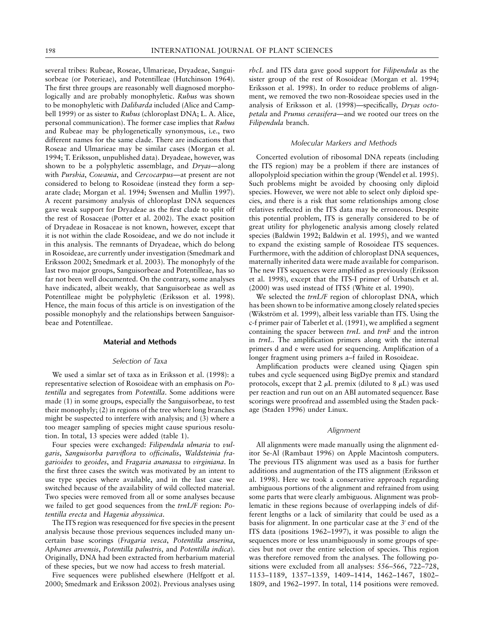several tribes: Rubeae, Roseae, Ulmarieae, Dryadeae, Sanguisorbeae (or Poterieae), and Potentilleae (Hutchinson 1964). The first three groups are reasonably well diagnosed morphologically and are probably monophyletic. *Rubus* was shown to be monophyletic with *Dalibarda* included (Alice and Campbell 1999) or as sister to *Rubus* (chloroplast DNA; L. A. Alice, personal communication). The former case implies that *Rubus* and Rubeae may be phylogenetically synonymous, i.e., two different names for the same clade. There are indications that Roseae and Ulmarieae may be similar cases (Morgan et al. 1994; T. Eriksson, unpublished data). Dryadeae, however, was shown to be a polyphyletic assemblage, and *Dryas*—along with *Purshia*, *Cowania*, and *Cercocarpus*—at present are not considered to belong to Rosoideae (instead they form a separate clade; Morgan et al. 1994; Swensen and Mullin 1997). A recent parsimony analysis of chloroplast DNA sequences gave weak support for Dryadeae as the first clade to split off the rest of Rosaceae (Potter et al. 2002). The exact position of Dryadeae in Rosaceae is not known, however, except that it is not within the clade Rosoideae, and we do not include it in this analysis. The remnants of Dryadeae, which do belong in Rosoideae, are currently under investigation (Smedmark and Eriksson 2002; Smedmark et al. 2003). The monophyly of the last two major groups, Sanguisorbeae and Potentilleae, has so far not been well documented. On the contrary, some analyses have indicated, albeit weakly, that Sanguisorbeae as well as Potentilleae might be polyphyletic (Eriksson et al. 1998). Hence, the main focus of this article is on investigation of the possible monophyly and the relationships between Sanguisorbeae and Potentilleae.

## **Material and Methods**

## *Selection of Taxa*

We used a simlar set of taxa as in Eriksson et al. (1998): a representative selection of Rosoideae with an emphasis on *Potentilla* and segregates from *Potentilla*. Some additions were made (1) in some groups, especially the Sanguisorbeae, to test their monophyly; (2) in regions of the tree where long branches might be suspected to interfere with analysis; and (3) where a too meager sampling of species might cause spurious resolution. In total, 13 species were added (table 1).

Four species were exchanged: *Filipendula ulmaria* to *vulgaris*, *Sanguisorba parviflora* to *officinalis*, *Waldsteinia fragarioides* to *geoides*, and *Fragaria ananassa* to *virginiana*. In the first three cases the switch was motivated by an intent to use type species where available, and in the last case we switched because of the availability of wild collected material. Two species were removed from all or some analyses because we failed to get good sequences from the *trnL/F* region: *Potentilla erecta* and *Hagenia abyssinica*.

The ITS region was resequenced for five species in the present analysis because those previous sequences included many uncertain base scorings (*Fragaria vesca*, *Potentilla anserina*, *Aphanes arvensis*, *Potentilla palustris*, and *Potentilla indica*). Originally, DNA had been extracted from herbarium material of these species, but we now had access to fresh material.

Five sequences were published elsewhere (Helfgott et al. 2000; Smedmark and Eriksson 2002). Previous analyses using

*rbcL* and ITS data gave good support for *Filipendula* as the sister group of the rest of Rosoideae (Morgan et al. 1994; Eriksson et al. 1998). In order to reduce problems of alignment, we removed the two non-Rosoideae species used in the analysis of Eriksson et al. (1998)—specifically, *Dryas octopetala* and *Prunus cerasifera*—and we rooted our trees on the *Filipendula* branch.

# *Molecular Markers and Methods*

Concerted evolution of ribosomal DNA repeats (including the ITS region) may be a problem if there are instances of allopolyploid speciation within the group (Wendel et al. 1995). Such problems might be avoided by choosing only diploid species. However, we were not able to select only diploid species, and there is a risk that some relationships among close relatives reflected in the ITS data may be erroneous. Despite this potential problem, ITS is generally considered to be of great utility for phylogenetic analysis among closely related species (Baldwin 1992; Baldwin et al. 1995), and we wanted to expand the existing sample of Rosoideae ITS sequences. Furthermore, with the addition of chloroplast DNA sequences, maternally inherited data were made available for comparison. The new ITS sequences were amplified as previously (Eriksson et al. 1998), except that the ITS-I primer of Urbatsch et al. (2000) was used instead of ITS5 (White et al. 1990).

We selected the *trnL/F* region of chloroplast DNA, which has been shown to be informative among closely related species (Wikström et al. 1999), albeit less variable than ITS. Using the c-f primer pair of Taberlet et al. (1991), we amplified a segment containing the spacer between *trnL* and *trnF* and the intron in *trnL*. The amplification primers along with the internal primers d and e were used for sequencing. Amplification of a longer fragment using primers a–f failed in Rosoideae.

Amplification products were cleaned using Qiagen spin tubes and cycle sequenced using BigDye premix and standard protocols, except that 2  $\mu$ L premix (diluted to 8  $\mu$ L) was used per reaction and run out on an ABI automated sequencer. Base scorings were proofread and assembled using the Staden package (Staden 1996) under Linux.

#### *Alignment*

All alignments were made manually using the alignment editor Se-Al (Rambaut 1996) on Apple Macintosh computers. The previous ITS alignment was used as a basis for further additions and augmentation of the ITS alignment (Eriksson et al. 1998). Here we took a conservative approach regarding ambiguous portions of the alignment and refrained from using some parts that were clearly ambiguous. Alignment was problematic in these regions because of overlapping indels of different lengths or a lack of similarity that could be used as a basis for alignment. In one particular case at the 3' end of the ITS data (positions 1962–1997), it was possible to align the sequences more or less unambiguously in some groups of species but not over the entire selection of species. This region was therefore removed from the analyses. The following positions were excluded from all analyses: 556–566, 722–728, 1153–1189, 1357–1359, 1409–1414, 1462–1467, 1802– 1809, and 1962–1997. In total, 114 positions were removed.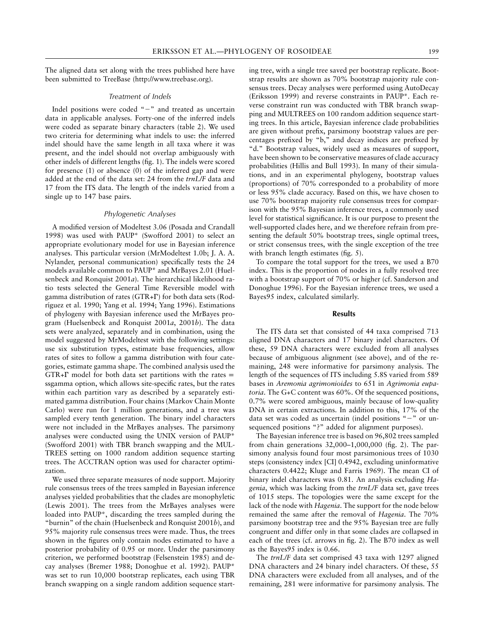The aligned data set along with the trees published here have been submitted to TreeBase (http://www.treebase.org).

## *Treatment of Indels*

Indel positions were coded " $-$ " and treated as uncertain data in applicable analyses. Forty-one of the inferred indels were coded as separate binary characters (table 2). We used two criteria for determining what indels to use: the inferred indel should have the same length in all taxa where it was present, and the indel should not overlap ambiguously with other indels of different lengths (fig. 1). The indels were scored for presence (1) or absence (0) of the inferred gap and were added at the end of the data set: 24 from the *trnL/F* data and 17 from the ITS data. The length of the indels varied from a single up to 147 base pairs.

## *Phylogenetic Analyses*

A modified version of Modeltest 3.06 (Posada and Crandall 1998) was used with PAUP\* (Swofford 2001) to select an appropriate evolutionary model for use in Bayesian inference analyses. This particular version (MrModeltest 1.0b; J. A. A. Nylander, personal communication) specifically tests the 24 models available common to PAUP\* and MrBayes 2.01 (Huelsenbeck and Ronquist 2001*a*). The hierarchical likelihood ratio tests selected the General Time Reversible model with gamma distribution of rates (GTR+ $\Gamma$ ) for both data sets (Rodríguez et al. 1990; Yang et al. 1994; Yang 1996). Estimations of phylogeny with Bayesian inference used the MrBayes program (Huelsenbeck and Ronquist 2001*a*, 2001*b*). The data sets were analyzed, separately and in combination, using the model suggested by MrModeltest with the following settings: use six substitution types, estimate base frequencies, allow rates of sites to follow a gamma distribution with four categories, estimate gamma shape. The combined analysis used the  $GTR+ \Gamma$  model for both data set partitions with the rates = ssgamma option, which allows site-specific rates, but the rates within each partition vary as described by a separately estimated gamma distribution. Four chains (Markov Chain Monte Carlo) were run for 1 million generations, and a tree was sampled every tenth generation. The binary indel characters were not included in the MrBayes analyses. The parsimony analyses were conducted using the UNIX version of PAUP\* (Swofford 2001) with TBR branch swapping and the MUL-TREES setting on 1000 random addition sequence starting trees. The ACCTRAN option was used for character optimization.

We used three separate measures of node support. Majority rule consensus trees of the trees sampled in Bayesian inference analyses yielded probabilities that the clades are monophyletic (Lewis 2001). The trees from the MrBayes analyses were loaded into PAUP\*, discarding the trees sampled during the "burnin" of the chain (Huelsenbeck and Ronquist 2001*b*), and 95% majority rule consensus trees were made. Thus, the trees shown in the figures only contain nodes estimated to have a posterior probability of 0.95 or more. Under the parsimony criterion, we performed bootstrap (Felsenstein 1985) and decay analyses (Bremer 1988; Donoghue et al. 1992). PAUP\* was set to run 10,000 bootstrap replicates, each using TBR branch swapping on a single random addition sequence start-

ing tree, with a single tree saved per bootstrap replicate. Bootstrap results are shown as 70% bootstrap majority rule consensus trees. Decay analyses were performed using AutoDecay (Eriksson 1999) and reverse constraints in PAUP\*. Each reverse constraint run was conducted with TBR branch swapping and MULTREES on 100 random addition sequence starting trees. In this article, Bayesian inference clade probabilities are given without prefix, parsimony bootstrap values are percentages prefixed by "b," and decay indices are prefixed by "d." Bootstrap values, widely used as measures of support, have been shown to be conservative measures of clade accuracy probabilities (Hillis and Bull 1993). In many of their simulations, and in an experimental phylogeny, bootstrap values (proportions) of 70% corresponded to a probability of more or less 95% clade accuracy. Based on this, we have chosen to use 70% bootstrap majority rule consensus trees for comparison with the 95% Bayesian inference trees, a commonly used level for statistical significance. It is our purpose to present the well-supported clades here, and we therefore refrain from presenting the default 50% bootstrap trees, single optimal trees, or strict consensus trees, with the single exception of the tree with branch length estimates (fig. 5).

To compare the total support for the trees, we used a B70 index. This is the proportion of nodes in a fully resolved tree with a bootstrap support of 70% or higher (cf. Sanderson and Donoghue 1996). For the Bayesian inference trees, we used a Bayes95 index, calculated similarly.

#### **Results**

The ITS data set that consisted of 44 taxa comprised 713 aligned DNA characters and 17 binary indel characters. Of these, 59 DNA characters were excluded from all analyses because of ambiguous alignment (see above), and of the remaining, 248 were informative for parsimony analysis. The length of the sequences of ITS including 5.8S varied from 589 bases in *Aremonia agrimonioides* to 651 in *Agrimonia eupatoria*. The G+C content was 60%. Of the sequenced positions, 0.7% were scored ambiguous, mainly because of low-quality DNA in certain extractions. In addition to this, 17% of the data set was coded as uncertain (indel positions " $-$ " or unsequenced positions "?" added for alignment purposes).

The Bayesian inference tree is based on 96,802 trees sampled from chain generations 32,000–1,000,000 (fig. 2). The parsimony analysis found four most parsimonious trees of 1030 steps (consistency index [CI] 0.4942, excluding uninformative characters 0.4422; Kluge and Farris 1969). The mean CI of binary indel characters was 0.81. An analysis excluding *Hagenia*, which was lacking from the *trnL/F* data set, gave trees of 1015 steps. The topologies were the same except for the lack of the node with *Hagenia*. The support for the node below remained the same after the removal of *Hagenia*. The 70% parsimony bootstrap tree and the 95% Bayesian tree are fully congruent and differ only in that some clades are collapsed in each of the trees (cf. arrows in fig. 2). The B70 index as well as the Bayes95 index is 0.66.

The *trnL/F* data set comprised 43 taxa with 1297 aligned DNA characters and 24 binary indel characters. Of these, 55 DNA characters were excluded from all analyses, and of the remaining, 281 were informative for parsimony analysis. The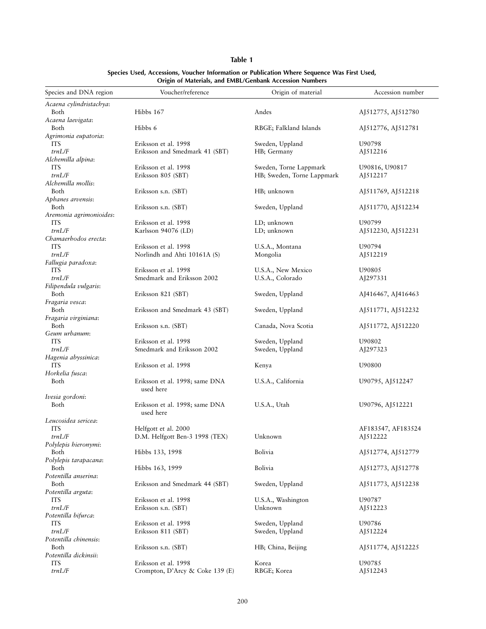# **Table 1**

| Species Used, Accessions, Voucher Information or Publication Where Sequence Was First Used, |  |
|---------------------------------------------------------------------------------------------|--|
| <b>Origin of Materials, and EMBL/Genbank Accession Numbers</b>                              |  |

| Species and DNA region  | Voucher/reference               | Origin of material         | Accession number   |
|-------------------------|---------------------------------|----------------------------|--------------------|
| Acaena cylindristachya: |                                 |                            |                    |
| Both                    | Hibbs 167                       | Andes                      | AJ512775, AJ512780 |
| Acaena laevigata:       |                                 |                            |                    |
| Both                    | Hibbs 6                         | RBGE; Falkland Islands     | AJ512776, AJ512781 |
| Agrimonia eupatoria:    |                                 |                            |                    |
| <b>ITS</b>              | Eriksson et al. 1998            | Sweden, Uppland            | U90798             |
| trnL/F                  | Eriksson and Smedmark 41 (SBT)  | HB; Germany                | AJ512216           |
| Alchemilla alpina:      |                                 |                            |                    |
| ITS                     | Eriksson et al. 1998            | Sweden, Torne Lappmark     | U90816, U90817     |
| trnL/F                  | Eriksson 805 (SBT)              | HB; Sweden, Torne Lappmark | AJ512217           |
| Alchemilla mollis:      |                                 |                            |                    |
| Both                    | Eriksson s.n. (SBT)             | HB; unknown                | AJ511769, AJ512218 |
| Aphanes arvensis:       |                                 |                            |                    |
| Both                    | Eriksson s.n. (SBT)             | Sweden, Uppland            | AJ511770, AJ512234 |
| Aremonia agrimonioides: |                                 |                            |                    |
| <b>ITS</b>              | Eriksson et al. 1998            | LD; unknown                | U90799             |
| trnL/F                  | Karlsson 94076 (LD)             | LD; unknown                | AJ512230, AJ512231 |
| Chamaerhodos erecta:    |                                 |                            |                    |
| <b>ITS</b>              | Eriksson et al. 1998            | U.S.A., Montana            | U90794             |
| trnL/F                  | Norlindh and Ahti 10161A (S)    | Mongolia                   | AJ512219           |
| Fallugia paradoxa:      |                                 |                            |                    |
| <b>ITS</b>              | Eriksson et al. 1998            | U.S.A., New Mexico         | U90805             |
| trnL/F                  | Smedmark and Eriksson 2002      | U.S.A., Colorado           | AJ297331           |
| Filipendula vulgaris:   |                                 |                            |                    |
| Both                    | Eriksson 821 (SBT)              | Sweden, Uppland            | AJ416467, AJ416463 |
| Fragaria vesca:         |                                 |                            |                    |
| Both                    | Eriksson and Smedmark 43 (SBT)  | Sweden, Uppland            | AJ511771, AJ512232 |
| Fragaria virginiana:    |                                 |                            |                    |
| Both                    | Eriksson s.n. (SBT)             | Canada, Nova Scotia        | AJ511772, AJ512220 |
| Geum urbanum:           |                                 |                            |                    |
| ITS                     | Eriksson et al. 1998            | Sweden, Uppland            | U90802             |
| trnL/F                  | Smedmark and Eriksson 2002      | Sweden, Uppland            | AJ297323           |
| Hagenia abyssinica:     |                                 |                            |                    |
| <b>ITS</b>              | Eriksson et al. 1998            | Kenya                      | U90800             |
| Horkelia fusca:         |                                 |                            |                    |
| Both                    | Eriksson et al. 1998; same DNA  | U.S.A., California         | U90795, AJ512247   |
|                         | used here                       |                            |                    |
|                         |                                 |                            |                    |
| Ivesia gordoni:         |                                 |                            |                    |
| Both                    | Eriksson et al. 1998; same DNA  | U.S.A., Utah               | U90796, AJ512221   |
|                         | used here                       |                            |                    |
| Leucosidea sericea:     |                                 |                            |                    |
| <b>ITS</b>              | Helfgott et al. 2000            |                            | AF183547, AF183524 |
| trnL/F                  | D.M. Helfgott Ben-3 1998 (TEX)  | Unknown                    | AJ512222           |
| Polylepis hieronymi:    |                                 |                            |                    |
| Both                    | Hibbs 133, 1998                 | Bolivia                    | AJ512774, AJ512779 |
| Polylepis tarapacana:   |                                 |                            |                    |
| Both                    | Hibbs 163, 1999                 | Bolivia                    | AJ512773, AJ512778 |
| Potentilla anserina:    |                                 |                            |                    |
| Both                    | Eriksson and Smedmark 44 (SBT)  | Sweden, Uppland            | AJ511773, AJ512238 |
| Potentilla arguta:      |                                 |                            |                    |
| <b>ITS</b>              | Eriksson et al. 1998            | U.S.A., Washington         | U90787             |
| trnL/F                  | Eriksson s.n. (SBT)             | Unknown                    | AJ512223           |
| Potentilla bifurca:     |                                 |                            |                    |
| ITS                     | Eriksson et al. 1998            | Sweden, Uppland            | U90786             |
| trnL/F                  | Eriksson 811 (SBT)              | Sweden, Uppland            | AJ512224           |
| Potentilla chinensis:   |                                 |                            |                    |
| Both                    | Eriksson s.n. (SBT)             | HB; China, Beijing         | AJ511774, AJ512225 |
| Potentilla dickinsii:   |                                 |                            |                    |
| <b>ITS</b>              | Eriksson et al. 1998            | Korea                      | U90785             |
| trnL/F                  | Crompton, D'Arcy & Coke 139 (E) | RBGE; Korea                | AJ512243           |
|                         |                                 |                            |                    |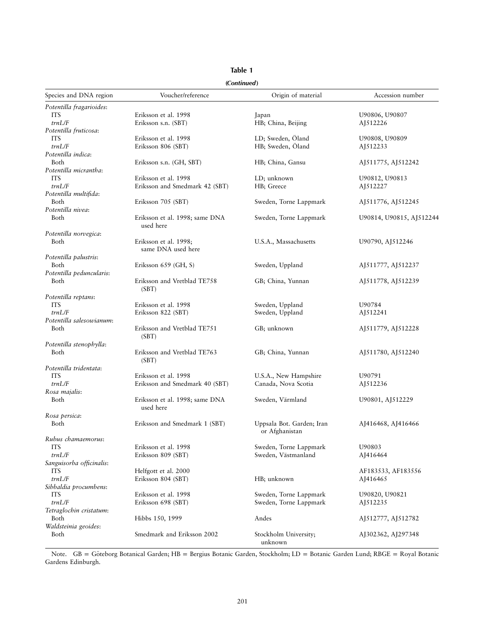| Species and DNA region   | Voucher/reference                           | Origin of material                          | Accession number         |
|--------------------------|---------------------------------------------|---------------------------------------------|--------------------------|
| Potentilla fragarioides: |                                             |                                             |                          |
| ITS                      | Eriksson et al. 1998                        | Japan                                       | U90806, U90807           |
| trnL/F                   | Eriksson s.n. (SBT)                         | HB; China, Beijing                          | AJ512226                 |
| Potentilla fruticosa:    |                                             |                                             |                          |
| <b>ITS</b>               | Eriksson et al. 1998                        | LD; Sweden, Öland                           | U90808, U90809           |
| trnL/F                   | Eriksson 806 (SBT)                          | HB; Sweden, Öland                           | AJ512233                 |
| Potentilla indica:       |                                             |                                             |                          |
| Both                     | Eriksson s.n. (GH, SBT)                     | HB; China, Gansu                            | AJ511775, AJ512242       |
| Potentilla micrantha:    |                                             |                                             |                          |
| <b>ITS</b>               | Eriksson et al. 1998                        | LD; unknown                                 | U90812, U90813           |
| trnL/F                   | Eriksson and Smedmark 42 (SBT)              | HB; Greece                                  | AJ512227                 |
| Potentilla multifida:    |                                             |                                             |                          |
| Both                     | Eriksson 705 (SBT)                          | Sweden, Torne Lappmark                      | AJ511776, AJ512245       |
| Potentilla nivea:        |                                             |                                             |                          |
| Both                     | Eriksson et al. 1998; same DNA<br>used here | Sweden, Torne Lappmark                      | U90814, U90815, AJ512244 |
| Potentilla norvegica:    |                                             |                                             |                          |
| Both                     | Eriksson et al. 1998;                       | U.S.A., Massachusetts                       | U90790, AJ512246         |
|                          |                                             |                                             |                          |
|                          | same DNA used here                          |                                             |                          |
| Potentilla palustris:    |                                             |                                             |                          |
| Both                     | Eriksson $659$ (GH, S)                      | Sweden, Uppland                             | AJ511777, AJ512237       |
| Potentilla peduncularis: |                                             |                                             |                          |
| Both                     | Eriksson and Vretblad TE758<br>(SBT)        | GB; China, Yunnan                           | AJ511778, AJ512239       |
| Potentilla reptans:      |                                             |                                             |                          |
| <b>ITS</b>               | Eriksson et al. 1998                        | Sweden, Uppland                             | U90784                   |
| trnL/F                   | Eriksson 822 (SBT)                          | Sweden, Uppland                             | AJ512241                 |
| Potentilla salesowianum: |                                             |                                             |                          |
| Both                     | Eriksson and Vretblad TE751<br>(SBT)        | GB; unknown                                 | AJ511779, AJ512228       |
| Potentilla stenophylla:  |                                             |                                             |                          |
| Both                     | Eriksson and Vretblad TE763<br>(SBT)        | GB; China, Yunnan                           | AJ511780, AJ512240       |
| Potentilla tridentata:   |                                             |                                             |                          |
| <b>ITS</b>               | Eriksson et al. 1998                        | U.S.A., New Hampshire                       | U90791                   |
| trnL/F                   | Eriksson and Smedmark 40 (SBT)              | Canada, Nova Scotia                         | AJ512236                 |
| Rosa majalis:            |                                             |                                             |                          |
| Both                     | Eriksson et al. 1998; same DNA<br>used here | Sweden, Värmland                            | U90801, AJ512229         |
| Rosa persica:            |                                             |                                             |                          |
| Both                     | Eriksson and Smedmark 1 (SBT)               | Uppsala Bot. Garden; Iran<br>or Afghanistan | AJ416468, AJ416466       |
| Rubus chamaemorus:       |                                             |                                             |                          |
| <b>ITS</b>               | Eriksson et al. 1998                        | Sweden, Torne Lappmark                      | U90803                   |
| trnL/F                   | Eriksson 809 (SBT)                          | Sweden, Västmanland                         | AJ416464                 |
| Sanguisorba officinalis: |                                             |                                             |                          |
| <b>ITS</b>               | Helfgott et al. 2000                        |                                             | AF183533, AF183556       |
| trnL/F                   | Eriksson 804 (SBT)                          | HB; unknown                                 | AJ416465                 |
| Sibbaldia procumbens:    |                                             |                                             |                          |
| ITS                      | Eriksson et al. 1998                        | Sweden, Torne Lappmark                      | U90820, U90821           |
| trnL/F                   | Eriksson 698 (SBT)                          | Sweden, Torne Lappmark                      | AJ512235                 |
| Tetraglochin cristatum:  |                                             |                                             |                          |
| Both                     | Hibbs 150, 1999                             | Andes                                       | AJ512777, AJ512782       |
| Waldsteinia geoides:     |                                             |                                             |                          |
| Both                     | Smedmark and Eriksson 2002                  | Stockholm University;                       | AJ302362, AJ297348       |
|                          |                                             | unknown                                     |                          |

**Table 1**

**(***Continued***)**

Note. GB = Göteborg Botanical Garden; HB = Bergius Botanic Garden, Stockholm; LD = Botanic Garden Lund; RBGE = Royal Botanic Gardens Edinburgh.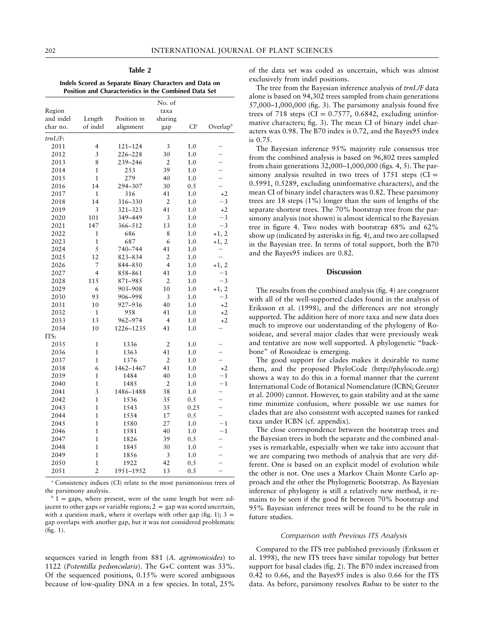**Indels Scored as Separate Binary Characters and Data on Position and Characteristics in the Combined Data Set**

|              |                                  |                | No. of               |                 |                          |
|--------------|----------------------------------|----------------|----------------------|-----------------|--------------------------|
| Region       |                                  |                | taxa                 |                 |                          |
| and indel    | Length                           | Position in    | sharing              |                 |                          |
| char no.     | of indel                         | alignment      | gap                  | CI <sup>a</sup> | Overlap $\rm ^b$         |
| $trnL/F$ :   |                                  |                |                      |                 |                          |
| 2011         | 4                                | 121-124        | 3                    | 1.0             |                          |
| 2012         | 3                                | 226-228        | 30                   | 1.0             |                          |
| 2013         | 8                                | 239-246        | $\overline{2}$       | 1.0             |                          |
| 2014         | $\mathbf{1}$                     | 253            | 39                   | 1.0             | $\overline{\phantom{0}}$ |
| 2015         | 1                                | 279            | 40                   | 1.0             | $\overline{\phantom{0}}$ |
| 2016         | 14                               | 294-307        | 30                   | 0.5             | $\overline{\phantom{0}}$ |
| 2017<br>2018 | $\mathbf{1}$<br>14               | 316<br>316-330 | 41<br>$\overline{2}$ | 1.0<br>1.0      | $+2$                     |
| 2019         | 3                                | 321-323        | 41                   | 1.0             | $-3$<br>$+2$             |
| 2020         | 101                              | 349-449        | 3                    | 1.0             | $-3$                     |
| 2021         | 147                              | 366-512        | 13                   | 1.0             | $-3$                     |
| 2022         | 1                                | 686            | 8                    | 1.0             | $+1, 2$                  |
| 2023         | $\mathbf{1}$                     | 687            | 6                    | 1.0             | $+1, 2$                  |
| 2024         | 5                                | 740-744        | 41                   | 1.0             |                          |
| 2025         | 12                               | 823-834        | 2                    | 1.0             |                          |
| 2026         | 7                                | 844-850        | $\overline{4}$       | 1.0             | $+1, 2$                  |
| 2027         | $\overline{4}$                   | 858-861        | 41                   | 1.0             | $-1$                     |
| 2028         | 115                              | 871-985        | 2                    | 1.0             | $-3$                     |
| 2029         | 6                                | 903-908        | 10                   | 1.0             | $+1, 2$                  |
| 2030         | 93                               | 906–998        | 3                    | 1.0             | $-3$                     |
| 2031         | 10                               | 927-936        | 40                   | 1.0             | $+2$                     |
| 2032         | 1                                | 958            | 41                   | 1.0             | $+2$                     |
| 2033         | 13                               | 962-974        | 4<br>41              | 1.0             | $+2$                     |
| 2034<br>ITS: | 10                               | 1226-1235      |                      | 1.0             |                          |
| 2035         | $\mathbf{1}$                     | 1336           | 2                    | $1.0\,$         |                          |
| 2036         | $\overline{1}$                   | 1363           | 41                   | 1.0             | $\overline{\phantom{0}}$ |
| 2037         | $\mathbf{1}$                     | 1376           | $\overline{2}$       | 1.0             | $\overline{\phantom{0}}$ |
| 2038         | 6                                | 1462-1467      | 41                   | 1.0             | $+2$                     |
| 2039         | $\overline{1}$                   | 1484           | 40                   | 1.0             | $-1$                     |
| 2040         | 1                                | 1485           | 2                    | 1.0             | $-1$                     |
| 2041         | $\overline{3}$                   | 1486-1488      | 38                   | 1.0             |                          |
| 2042         | $\mathbf{1}$                     | 1536           | 35                   | 0.5             |                          |
| 2043         | $\mathbf{1}$                     | 1543           | 35                   | 0.25            |                          |
| 2044         | $\overline{1}$                   | 1554           | 17                   | 0.5             | $\overline{a}$           |
| 2045         | $\mathbf{1}$                     | 1580           | 27                   | 1.0             | $-1$                     |
| 2046         | $\overline{1}$                   | 1581           | 40                   | 1.0             | $-1$                     |
| 2047         | $\mathbf{1}$                     | 1826           | 39                   | 0.5             | $\overline{\phantom{0}}$ |
| 2048         | $\overline{1}$<br>$\overline{1}$ | 1845           | 30                   | 1.0             |                          |
| 2049<br>2050 | $\mathbf{1}$                     | 1856<br>1922   | 3<br>42              | 1.0<br>0.5      |                          |
| 2051         | 2                                | 1951-1952      | 13                   | 0.5             | $\overline{a}$           |
|              |                                  |                |                      |                 |                          |

<sup>a</sup> Consistency indices (CI) relate to the most parsimonious trees of the parsimony analysis.

 $b$  1 = gaps, where present, were of the same length but were adjacent to other gaps or variable regions;  $2 =$  gap was scored uncertain, with a question mark, where it overlaps with other gap (fig. 1);  $3 =$ gap overlaps with another gap, but it was not considered problematic (fig. 1).

sequences varied in length from 881 (*A. agrimonioides*) to 1122 (*Potentilla peduncularis*). The G+C content was 33%. Of the sequenced positions, 0.15% were scored ambiguous because of low-quality DNA in a few species. In total, 25%

of the data set was coded as uncertain, which was almost exclusively from indel positions.

The tree from the Bayesian inference analysis of *trnL/F* data alone is based on 94,302 trees sampled from chain generations 57,000–1,000,000 (fig. 3). The parsimony analysis found five trees of 718 steps (CI =  $0.7577$ , 0.6842, excluding uninformative characters; fig. 3). The mean CI of binary indel characters was 0.98. The B70 index is 0.72, and the Bayes95 index is 0.75.

The Bayesian inference 95% majority rule consensus tree from the combined analysis is based on 96,802 trees sampled from chain generations 32,000–1,000,000 (figs. 4, 5). The parsimony analysis resulted in two trees of  $1751$  steps (CI = 0.5991, 0.5289, excluding uninformative characters), and the mean CI of binary indel characters was 0.82. These parsimony trees are 18 steps (1%) longer than the sum of lengths of the separate shortest trees. The 70% bootstrap tree from the parsimony analysis (not shown) is almost identical to the Bayesian tree in figure 4. Two nodes with bootstrap 68% and 62% show up (indicated by asterisks in fig. 4), and two are collapsed in the Bayesian tree. In terms of total support, both the B70 and the Bayes95 indices are 0.82.

#### **Discussion**

The results from the combined analysis (fig. 4) are congruent with all of the well-supported clades found in the analysis of Eriksson et al. (1998), and the differences are not strongly supported. The addition here of more taxa and new data does much to improve our understanding of the phylogeny of Rosoideae, and several major clades that were previously weak and tentative are now well supported. A phylogenetic "backbone" of Rosoideae is emerging.

The good support for clades makes it desirable to name them, and the proposed PhyloCode (http://phylocode.org) shows a way to do this in a formal manner that the current International Code of Botanical Nomenclature (ICBN; Greuter et al. 2000) cannot. However, to gain stability and at the same time minimize confusion, where possible we use names for clades that are also consistent with accepted names for ranked taxa under ICBN (cf. appendix).

The close correspondence between the bootstrap trees and the Bayesian trees in both the separate and the combined analyses is remarkable, especially when we take into account that we are comparing two methods of analysis that are very different. One is based on an explicit model of evolution while the other is not. One uses a Markov Chain Monte Carlo approach and the other the Phylogenetic Bootstrap. As Bayesian inference of phylogeny is still a relatively new method, it remains to be seen if the good fit between 70% bootstrap and 95% Bayesian inference trees will be found to be the rule in future studies.

## *Comparison with Previous ITS Analysis*

Compared to the ITS tree published previously (Eriksson et al. 1998), the new ITS trees have similar topology but better support for basal clades (fig. 2). The B70 index increased from 0.42 to 0.66, and the Bayes95 index is also 0.66 for the ITS data. As before, parsimony resolves *Rubus* to be sister to the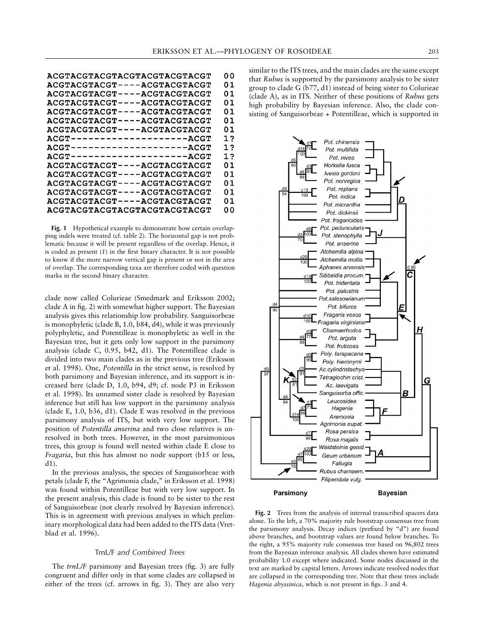| ACGTACGTACGTACGTACGTACGTACGT        | 00 |
|-------------------------------------|----|
| ACGTACGTACGT----ACGTACGTACGT        | 01 |
| ACGTACGTACGT----ACGTACGTACGT        | 01 |
| ACGTACGTACGT----ACGTACGTACGT        | 01 |
| ACGTACGTACGT----ACGTACGTACGT        | 01 |
| ACGTACGTACGT----ACGTACGTACGT        | 01 |
| ACGTACGTACGT----ACGTACGTACGT        | 01 |
|                                     | 1? |
| ACGT-------------------ACGT         | 1? |
| ACGT--------------------ACGT        | 1? |
| ACGTACGTACGT----ACGTACGTACGT        | 01 |
| ACGTACGTACGT----ACGTACGTACGT        | 01 |
| ACGTACGTACGT----ACGTACGTACGT        | 01 |
| ACGTACGTACGT----ACGTACGTACGT        | 01 |
| ACGTACGTACGT----ACGTACGTACGT        | 01 |
| <b>ACGTACGTACGTACGTACGTACGTACGT</b> | იი |
|                                     |    |

**Fig. 1** Hypothetical example to demonstrate how certain overlapping indels were treated (cf. table 2). The horizontal gap is not problematic because it will be present regardless of the overlap. Hence, it is coded as present (*1*) in the first binary character. It is not possible to know if the more narrow vertical gap is present or not in the area of overlap. The corresponding taxa are therefore coded with question marks in the second binary character.

clade now called Colurieae (Smedmark and Eriksson 2002; clade A in fig. 2) with somewhat higher support. The Bayesian analysis gives this relationship low probability. Sanguisorbeae is monophyletic (clade B, 1.0, b84, d4), while it was previously polyphyletic, and Potentilleae is monophyletic as well in the Bayesian tree, but it gets only low support in the parsimony analysis (clade C, 0.95, b42, d1). The Potentilleae clade is divided into two main clades as in the previous tree (Eriksson et al. 1998). One, *Potentilla* in the strict sense, is resolved by both parsimony and Bayesian inference, and its support is increased here (clade D, 1.0, b94, d9; cf. node P3 in Eriksson et al. 1998). Its unnamed sister clade is resolved by Bayesian inference but still has low support in the parsimony analysis (clade E, 1.0, b36, d1). Clade E was resolved in the previous parsimony analysis of ITS, but with very low support. The position of *Potentilla anserina* and two close relatives is unresolved in both trees. However, in the most parsimonious trees, this group is found well nested within clade E close to *Fragaria*, but this has almost no node support (b15 or less, d1).

In the previous analysis, the species of Sanguisorbeae with petals (clade F, the "Agrimonia clade," in Eriksson et al. 1998) was found within Potentilleae but with very low support. In the present analysis, this clade is found to be sister to the rest of Sanguisorbeae (not clearly resolved by Bayesian inference). This is in agreement with previous analyses in which preliminary morphological data had been added to the ITS data (Vretblad et al. 1996).

## TrnL/F *and Combined Trees*

The *trnL/F* parsimony and Bayesian trees (fig. 3) are fully congruent and differ only in that some clades are collapsed in either of the trees (cf. arrows in fig. 3). They are also very

similar to the ITS trees, and the main clades are the same except that *Rubus* is supported by the parsimony analysis to be sister group to clade G (b77, d1) instead of being sister to Colurieae (clade A), as in ITS. Neither of these positions of *Rubus* gets high probability by Bayesian inference. Also, the clade consisting of Sanguisorbeae + Potentilleae, which is supported in



Parsimony

**Bayesian** 

**Fig. 2** Trees from the analysis of internal transcribed spacers data alone. To the left, a 70% majority rule bootstrap consensus tree from the parsimony analysis. Decay indices (prefixed by "d") are found above branches, and bootstrap values are found below branches. To the right, a 95% majority rule consensus tree based on 96,802 trees from the Bayesian inference analysis. All clades shown have estimated probability 1.0 except where indicated. Some nodes discussed in the text are marked by capital letters. Arrows indicate resolved nodes that are collapsed in the corresponding tree. Note that these trees include *Hagenia abyssinica*, which is not present in figs. 3 and 4.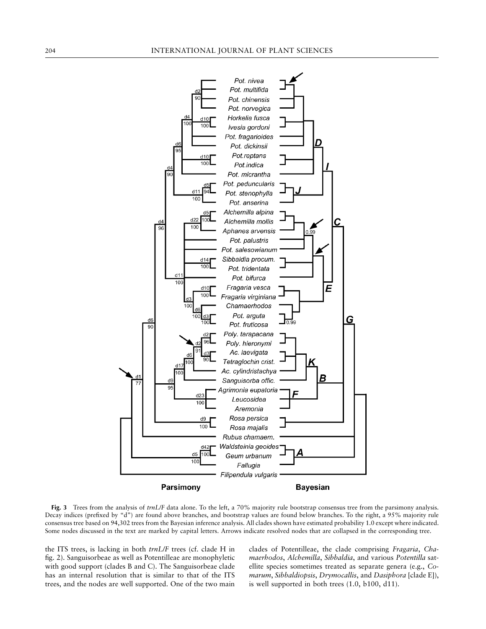

**Fig. 3** Trees from the analysis of *trnL/F* data alone. To the left, a 70% majority rule bootstrap consensus tree from the parsimony analysis. Decay indices (prefixed by "d") are found above branches, and bootstrap values are found below branches. To the right, a 95% majority rule consensus tree based on 94,302 trees from the Bayesian inference analysis. All clades shown have estimated probability 1.0 except where indicated. Some nodes discussed in the text are marked by capital letters. Arrows indicate resolved nodes that are collapsed in the corresponding tree.

the ITS trees, is lacking in both *trnL/F* trees (cf. clade H in fig. 2). Sanguisorbeae as well as Potentilleae are monophyletic with good support (clades B and C). The Sanguisorbeae clade has an internal resolution that is similar to that of the ITS trees, and the nodes are well supported. One of the two main

clades of Potentilleae, the clade comprising *Fragaria*, *Chamaerhodos*, *Alchemilla*, *Sibbaldia*, and various *Potentilla* satellite species sometimes treated as separate genera (e.g., *Comarum*, *Sibbaldiopsis*, *Drymocallis*, and *Dasiphora* [clade E]), is well supported in both trees (1.0, b100, d11).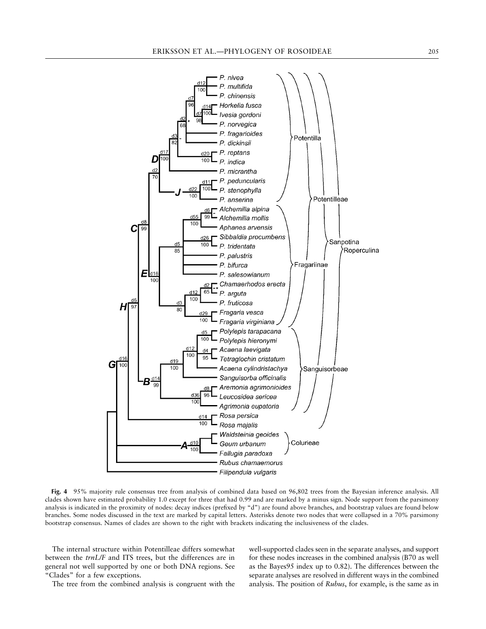

**Fig. 4** 95% majority rule consensus tree from analysis of combined data based on 96,802 trees from the Bayesian inference analysis. All clades shown have estimated probability 1.0 except for three that had 0.99 and are marked by a minus sign. Node support from the parsimony analysis is indicated in the proximity of nodes: decay indices (prefixed by "d") are found above branches, and bootstrap values are found below branches. Some nodes discussed in the text are marked by capital letters. Asterisks denote two nodes that were collapsed in a 70% parsimony bootstrap consensus. Names of clades are shown to the right with brackets indicating the inclusiveness of the clades.

The internal structure within Potentilleae differs somewhat between the *trnL/F* and ITS trees, but the differences are in general not well supported by one or both DNA regions. See "Clades" for a few exceptions.

The tree from the combined analysis is congruent with the

well-supported clades seen in the separate analyses, and support for these nodes increases in the combined analysis (B70 as well as the Bayes95 index up to 0.82). The differences between the separate analyses are resolved in different ways in the combined analysis. The position of *Rubus*, for example, is the same as in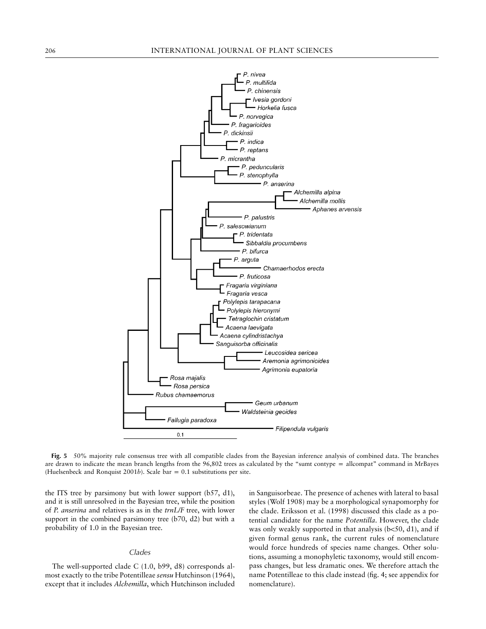

**Fig. 5** 50% majority rule consensus tree with all compatible clades from the Bayesian inference analysis of combined data. The branches are drawn to indicate the mean branch lengths from the  $96,802$  trees as calculated by the "sumt contype = allcompat" command in MrBayes (Huelsenbeck and Ronquist 2001*b*). Scale bar = 0.1 substitutions per site.

the ITS tree by parsimony but with lower support (b57, d1), and it is still unresolved in the Bayesian tree, while the position of *P. anserina* and relatives is as in the *trnL/F* tree, with lower support in the combined parsimony tree (b70, d2) but with a probability of 1.0 in the Bayesian tree.

## *Clades*

The well-supported clade C (1.0, b99, d8) corresponds almost exactly to the tribe Potentilleae *sensu* Hutchinson (1964), except that it includes *Alchemilla*, which Hutchinson included in Sanguisorbeae. The presence of achenes with lateral to basal styles (Wolf 1908) may be a morphological synapomorphy for the clade. Eriksson et al. (1998) discussed this clade as a potential candidate for the name *Potentilla*. However, the clade was only weakly supported in that analysis ( $b \le 50$ , d1), and if given formal genus rank, the current rules of nomenclature would force hundreds of species name changes. Other solutions, assuming a monophyletic taxonomy, would still encompass changes, but less dramatic ones. We therefore attach the name Potentilleae to this clade instead (fig. 4; see appendix for nomenclature).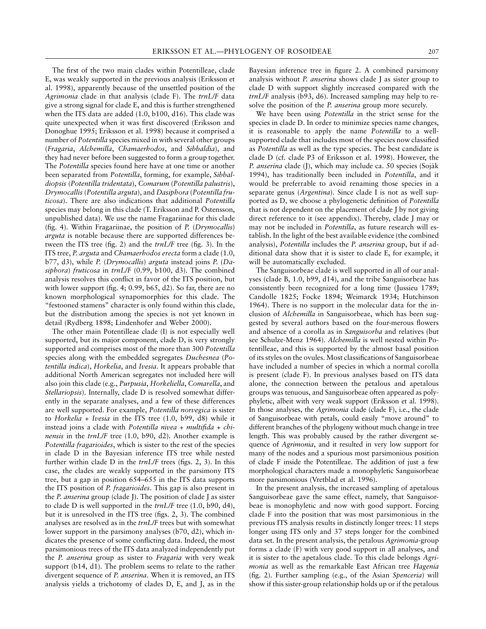The first of the two main clades within Potentilleae, clade E, was weakly supported in the previous analysis (Eriksson et al. 1998), apparently because of the unsettled position of the *Agrimonia* clade in that analysis (clade F). The *trnL/F* data give a strong signal for clade E, and this is further strengthened when the ITS data are added (1.0, b100, d16). This clade was quite unexpected when it was first discovered (Eriksson and Donoghue 1995; Eriksson et al. 1998) because it comprised a number of *Potentilla* species mixed in with several other groups (*Fragaria*, *Alchemilla*, *Chamaerhodos*, and *Sibbaldia*), and they had never before been suggested to form a group together. The *Potentilla* species found here have at one time or another been separated from *Potentilla*, forming, for example, *Sibbaldiopsis* (*Potentilla tridentata*), *Comarum* (*Potentilla palustris*), *Drymocallis* (*Potentilla arguta*), and *Dasiphora* (*Potentilla fruticosa*). There are also indications that additional *Potentilla* species may belong in this clade (T. Eriksson and P. Östensson, unpublished data). We use the name Fragariinae for this clade (fig. 4). Within Fragariinae, the position of *P.* (*Drymocallis*) *arguta* is notable because there are supported differences between the ITS tree (fig. 2) and the *trnL/F* tree (fig. 3). In the ITS tree, *P. arguta* and *Chamaerhodos erecta* form a clade (1.0, b77, d3), while *P.* (*Drymocallis*) *arguta* instead joins *P.* (*Dasiphora*) *fruticosa* in *trnL/F* (0.99, b100, d3). The combined analysis resolves this conflict in favor of the ITS position, but with lower support (fig. 4; 0.99, b65, d2). So far, there are no known morphological synapomorphies for this clade. The "festooned stamens" character is only found within this clade, but the distribution among the species is not yet known in detail (Rydberg 1898; Lindenhofer and Weber 2000).

The other main Potentilleae clade (I) is not especially well supported, but its major component, clade D, is very strongly supported and comprises most of the more than 300 *Potentilla* species along with the embedded segregates *Duchesnea* (*Potentilla indica*), *Horkelia*, and *Ivesia*. It appears probable that additional North American segregates not included here will also join this clade (e.g., *Purpusia*, *Horkeliella*, *Comarella*, and *Stellariopsis*). Internally, clade D is resolved somewhat differently in the separate analyses, and a few of these differences are well supported. For example, *Potentilla norvegica* is sister to *Horkelia* + *Ivesia* in the ITS tree (1.0, b99, d8) while it instead joins a clade with *Potentilla nivea* + *multifida* + *chinensis* in the *trnL/F* tree (1.0, b90, d2). Another example is *Potentilla fragarioides*, which is sister to the rest of the species in clade D in the Bayesian inference ITS tree while nested further within clade D in the *trnL/F* trees (figs. 2, 3). In this case, the clades are weakly supported in the parsimony ITS tree, but a gap in position 654–655 in the ITS data supports the ITS position of *P. fragarioides*. This gap is also present in the *P. anserina* group (clade J). The position of clade J as sister to clade D is well supported in the *trnL/F* tree (1.0, b90, d4), but it is unresolved in the ITS tree (figs. 2, 3). The combined analyses are resolved as in the *trnL/F* trees but with somewhat lower support in the parsimony analyses (b70, d2), which indicates the presence of some conflicting data. Indeed, the most parsimonious trees of the ITS data analyzed independently put the *P. anserina* group as sister to *Fragaria* with very weak support (b14, d1). The problem seems to relate to the rather divergent sequence of *P. anserina*. When it is removed, an ITS analysis yields a trichotomy of clades D, E, and J, as in the

Bayesian inference tree in figure 2. A combined parsimony analysis without *P. anserina* shows clade J as sister group to clade D with support slightly increased compared with the *trnL/F* analysis (b93, d6). Increased sampling may help to resolve the position of the *P. anserina* group more securely.

We have been using *Potentilla* in the strict sense for the species in clade D. In order to minimize species name changes, it is reasonable to apply the name *Potentilla* to a wellsupported clade that includes most of the species now classified as *Potentilla* as well as the type species. The best candidate is clade D (cf. clade P3 of Eriksson et al. 1998). However, the P. anserina clade (J), which may include ca. 50 species (Soják 1994), has traditionally been included in *Potentilla*, and it would be preferrable to avoid renaming those species in a separate genus (*Argentina*). Since clade I is not as well supported as D, we choose a phylogenetic definition of *Potentilla* that is not dependent on the placement of clade J by not giving direct reference to it (see appendix). Thereby, clade J may or may not be included in *Potentilla*, as future research will establish. In the light of the best available evidence (the combined analysis), *Potentilla* includes the *P. anserina* group, but if additional data show that it is sister to clade E, for example, it will be automatically excluded.

The Sanguisorbeae clade is well supported in all of our analyses (clade B, 1.0, b99, d14), and the tribe Sanguisorbeae has consistently been recognized for a long time (Jussieu 1789; Candolle 1825; Focke 1894; Weimarck 1934; Hutchinson 1964). There is no support in the molecular data for the inclusion of *Alchemilla* in Sanguisorbeae, which has been suggested by several authors based on the four-merous flowers and absence of a corolla as in *Sanguisorba* and relatives (but see Schulze-Menz 1964). *Alchemilla* is well nested within Potentilleae, and this is supported by the almost basal position of its styles on the ovules. Most classifications of Sanguisorbeae have included a number of species in which a normal corolla is present (clade F). In previous analyses based on ITS data alone, the connection between the petalous and apetalous groups was tenuous, and Sanguisorbeae often appeared as polyphyletic, albeit with very weak support (Eriksson et al. 1998). In those analyses, the *Agrimonia* clade (clade F), i.e., the clade of Sanguisorbeae with petals, could easily "move around" to different branches of the phylogeny without much change in tree length. This was probably caused by the rather divergent sequence of *Agrimonia*, and it resulted in very low support for many of the nodes and a spurious most parsimonious position of clade F inside the Potentilleae. The addition of just a few morphological characters made a monophyletic Sanguisorbeae more parsimonious (Vretblad et al. 1996).

In the present analysis, the increased sampling of apetalous Sanguisorbeae gave the same effect, namely, that Sanguisorbeae is monophyletic and now with good support. Forcing clade F into the position that was most parsimonious in the previous ITS analysis results in distinctly longer trees: 11 steps longer using ITS only and 37 steps longer for the combined data set. In the present analysis, the petalous *Agrimonia*-group forms a clade (F) with very good support in all analyses, and it is sister to the apetalous clade. To this clade belongs *Agrimonia* as well as the remarkable East African tree *Hagenia* (fig. 2). Further sampling (e.g., of the Asian *Spenceria*) will show if this sister-group relationship holds up or if the petalous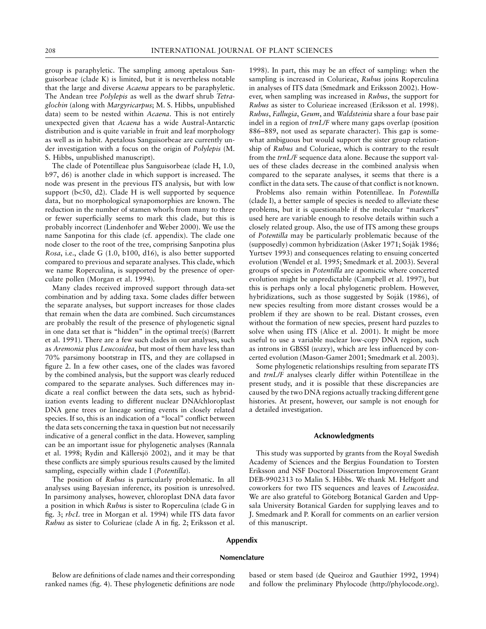group is paraphyletic. The sampling among apetalous Sanguisorbeae (clade K) is limited, but it is nevertheless notable that the large and diverse *Acaena* appears to be paraphyletic. The Andean tree *Polylepis* as well as the dwarf shrub *Tetraglochin* (along with *Margyricarpus*; M. S. Hibbs, unpublished data) seem to be nested within *Acaena*. This is not entirely unexpected given that *Acaena* has a wide Austral-Antarctic distribution and is quite variable in fruit and leaf morphology as well as in habit. Apetalous Sanguisorbeae are currently under investigation with a focus on the origin of *Polylepis* (M. S. Hibbs, unpublished manuscript).

The clade of Potentilleae plus Sanguisorbeae (clade H, 1.0, b97, d6) is another clade in which support is increased. The node was present in the previous ITS analysis, but with low support ( $b < 50$ , d2). Clade H is well supported by sequence data, but no morphological synapomorphies are known. The reduction in the number of stamen whorls from many to three or fewer superficially seems to mark this clade, but this is probably incorrect (Lindenhofer and Weber 2000). We use the name Sanpotina for this clade (cf. appendix). The clade one node closer to the root of the tree, comprising Sanpotina plus *Rosa*, i.e., clade G (1.0, b100, d16), is also better supported compared to previous and separate analyses. This clade, which we name Roperculina, is supported by the presence of operculate pollen (Morgan et al. 1994).

Many clades received improved support through data-set combination and by adding taxa. Some clades differ between the separate analyses, but support increases for those clades that remain when the data are combined. Such circumstances are probably the result of the presence of phylogenetic signal in one data set that is "hidden" in the optimal tree(s) (Barrett et al. 1991). There are a few such clades in our analyses, such as *Aremonia* plus *Leucosidea*, but most of them have less than 70% parsimony bootstrap in ITS, and they are collapsed in figure 2. In a few other cases, one of the clades was favored by the combined analysis, but the support was clearly reduced compared to the separate analyses. Such differences may indicate a real conflict between the data sets, such as hybridization events leading to different nuclear DNA/chloroplast DNA gene trees or lineage sorting events in closely related species. If so, this is an indication of a "local" conflict between the data sets concerning the taxa in question but not necessarily indicative of a general conflict in the data. However, sampling can be an important issue for phylogenetic analyses (Rannala et al. 1998; Rydin and Källersjö 2002), and it may be that these conflicts are simply spurious results caused by the limited sampling, especially within clade I (*Potentilla*).

The position of *Rubus* is particularly problematic. In all analyses using Bayesian inference, its position is unresolved. In parsimony analyses, however, chloroplast DNA data favor a position in which *Rubus* is sister to Roperculina (clade G in fig. 3; *rbcL* tree in Morgan et al. 1994) while ITS data favor *Rubus* as sister to Colurieae (clade A in fig. 2; Eriksson et al.

1998). In part, this may be an effect of sampling: when the sampling is increased in Colurieae, *Rubus* joins Roperculina in analyses of ITS data (Smedmark and Eriksson 2002). However, when sampling was increased in *Rubus*, the support for *Rubus* as sister to Colurieae increased (Eriksson et al. 1998). *Rubus*, *Fallugia*, *Geum*, and *Waldsteinia* share a four base pair indel in a region of *trnL/F* where many gaps overlap (position 886–889, not used as separate character). This gap is somewhat ambiguous but would support the sister group relationship of *Rubus* and Colurieae, which is contrary to the result from the *trnL/F* sequence data alone. Because the support values of these clades decrease in the combined analysis when compared to the separate analyses, it seems that there is a conflict in the data sets. The cause of that conflict is not known.

Problems also remain within Potentilleae. In *Potentilla* (clade I), a better sample of species is needed to alleviate these problems, but it is questionable if the molecular "markers" used here are variable enough to resolve details within such a closely related group. Also, the use of ITS among these groups of *Potentilla* may be particularly problematic because of the (supposedly) common hybridization (Asker 1971; Soják 1986; Yurtsev 1993) and consequences relating to ensuing concerted evolution (Wendel et al. 1995; Smedmark et al. 2003). Several groups of species in *Potentilla* are apomictic where concerted evolution might be unpredictable (Campbell et al. 1997), but this is perhaps only a local phylogenetic problem. However, hybridizations, such as those suggested by Soják (1986), of new species resulting from more distant crosses would be a problem if they are shown to be real. Distant crosses, even without the formation of new species, present hard puzzles to solve when using ITS (Alice et al. 2001). It might be more useful to use a variable nuclear low-copy DNA region, such as introns in GBSSI (*waxy*), which are less influenced by concerted evolution (Mason-Gamer 2001; Smedmark et al. 2003).

Some phylogenetic relationships resulting from separate ITS and *trnL/F* analyses clearly differ within Potentilleae in the present study, and it is possible that these discrepancies are caused by the two DNA regions actually tracking different gene histories. At present, however, our sample is not enough for a detailed investigation.

## **Acknowledgments**

This study was supported by grants from the Royal Swedish Academy of Sciences and the Bergius Foundation to Torsten Eriksson and NSF Doctoral Dissertation Improvement Grant DEB-9902313 to Malin S. Hibbs. We thank M. Helfgott and coworkers for two ITS sequences and leaves of *Leucosidea*. We are also grateful to Göteborg Botanical Garden and Uppsala University Botanical Garden for supplying leaves and to J. Smedmark and P. Korall for comments on an earlier version of this manuscript.

### **Appendix**

#### **Nomenclature**

Below are definitions of clade names and their corresponding ranked names (fig. 4). These phylogenetic definitions are node

based or stem based (de Queiroz and Gauthier 1992, 1994) and follow the preliminary Phylocode (http://phylocode.org).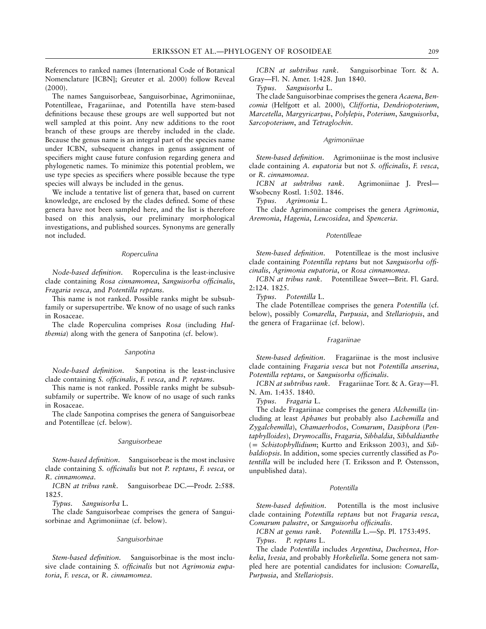References to ranked names (International Code of Botanical Nomenclature [ICBN]; Greuter et al. 2000) follow Reveal (2000).

The names Sanguisorbeae, Sanguisorbinae, Agrimoniinae, Potentilleae, Fragariinae, and Potentilla have stem-based definitions because these groups are well supported but not well sampled at this point. Any new additions to the root branch of these groups are thereby included in the clade. Because the genus name is an integral part of the species name under ICBN, subsequent changes in genus assignment of specifiers might cause future confusion regarding genera and phylogenetic names. To minimize this potential problem, we use type species as specifiers where possible because the type species will always be included in the genus.

We include a tentative list of genera that, based on current knowledge, are enclosed by the clades defined. Some of these genera have not been sampled here, and the list is therefore based on this analysis, our preliminary morphological investigations, and published sources. Synonyms are generally not included.

#### *Roperculina*

*Node-based definition*. Roperculina is the least-inclusive clade containing *Rosa cinnamomea*, *Sanguisorba officinalis*, *Fragaria vesca*, and *Potentilla reptans.*

This name is not ranked. Possible ranks might be subsubfamily or supersupertribe. We know of no usage of such ranks in Rosaceae.

The clade Roperculina comprises *Rosa* (including *Hulthemia*) along with the genera of Sanpotina (cf. below).

#### *Sanpotina*

*Node-based definition*. Sanpotina is the least-inclusive clade containing *S. officinalis*, *F. vesca*, and *P. reptans*.

This name is not ranked. Possible ranks might be subsubsubfamily or supertribe. We know of no usage of such ranks in Rosaceae.

The clade Sanpotina comprises the genera of Sanguisorbeae and Potentilleae (cf. below).

#### *Sanguisorbeae*

*Stem-based definition*. Sanguisorbeae is the most inclusive clade containing *S. officinalis* but not *P. reptans*, *F. vesca*, or *R. cinnamomea*.

*ICBN at tribus rank*. Sanguisorbeae DC.—Prodr. 2:588. 1825.

*Typus*. *Sanguisorba* L.

The clade Sanguisorbeae comprises the genera of Sanguisorbinae and Agrimoniinae (cf. below).

#### *Sanguisorbinae*

*Stem-based definition*. Sanguisorbinae is the most inclusive clade containing *S. officinalis* but not *Agrimonia eupatoria*, *F. vesca*, or *R. cinnamomea*.

*ICBN at subtribus rank*. Sanguisorbinae Torr. & A. Gray—Fl. N. Amer. 1:428. Jun 1840.

*Typus*. *Sanguisorba* L.

The clade Sanguisorbinae comprises the genera *Acaena*, *Bencomia* (Helfgott et al. 2000), *Cliffortia*, *Dendriopoterium*, *Marcetella*, *Margyricarpus*, *Polylepis*, *Poterium*, *Sanguisorba*, *Sarcopoterium*, and *Tetraglochin*.

## *Agrimoniinae*

*Stem-based definition*. Agrimoniinae is the most inclusive clade containing *A. eupatoria* but not *S. officinalis*, *F. vesca*, or *R. cinnamomea*.

*ICBN at subtribus rank*. Agrimoniinae J. Presl— Wsobecny Rostl. 1:502. 1846.

*Typus*. *Agrimonia* L.

The clade Agrimoniinae comprises the genera *Agrimonia*, *Aremonia*, *Hagenia*, *Leucosidea*, and *Spenceria*.

## *Potentilleae*

*Stem-based definition*. Potentilleae is the most inclusive clade containing *Potentilla reptans* but not *Sanguisorba officinalis*, *Agrimonia eupatoria*, or *Rosa cinnamomea*.

*ICBN at tribus rank*. Potentilleae Sweet—Brit. Fl. Gard. 2:124. 1825.

*Typus*. *Potentilla* L.

The clade Potentilleae comprises the genera *Potentilla* (cf. below), possibly *Comarella*, *Purpusia*, and *Stellariopsis*, and the genera of Fragariinae (cf. below).

# *Fragariinae*

*Stem-based definition*. Fragariinae is the most inclusive clade containing *Fragaria vesca* but not *Potentilla anserina*, *Potentilla reptans*, or *Sanguisorba officinalis*.

*ICBN at subtribus rank*. Fragariinae Torr. & A. Gray—Fl. N. Am. 1:435. 1840.

*Typus*. *Fragaria* L.

The clade Fragariinae comprises the genera *Alchemilla* (including at least *Aphanes* but probably also *Lachemilla* and *Zygalchemilla*), *Chamaerhodos*, *Comarum*, *Dasiphora* (*Pentaphylloides*), *Drymocallis*, *Fragaria*, *Sibbaldia*, *Sibbaldianthe* (p *Schistophyllidium*; Kurtto and Eriksson 2003), and *Sibbaldiopsis*. In addition, some species currently classified as *Po*tentilla will be included here (T. Eriksson and P. Östensson, unpublished data).

#### *Potentilla*

*Stem-based definition*. Potentilla is the most inclusive clade containing *Potentilla reptans* but not *Fragaria vesca*, *Comarum palustre*, or *Sanguisorba officinalis*.

*ICBN at genus rank*. *Potentilla* L.—Sp. Pl. 1753:495. *Typus*. *P. reptans* L.

The clade *Potentilla* includes *Argentina*, *Duchesnea*, *Horkelia*, *Ivesia*, and probably *Horkeliella*. Some genera not sampled here are potential candidates for inclusion: *Comarella*, *Purpusia*, and *Stellariopsis*.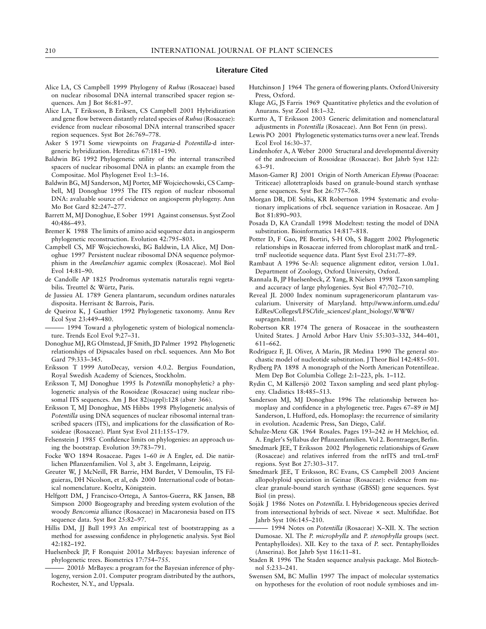## **Literature Cited**

- Alice LA, CS Campbell 1999 Phylogeny of *Rubus* (Rosaceae) based on nuclear ribosomal DNA internal transcribed spacer region sequences. Am J Bot 86:81–97.
- Alice LA, T Eriksson, B Eriksen, CS Campbell 2001 Hybridization and gene flow between distantly related species of *Rubus*(Rosaceae): evidence from nuclear ribosomal DNA internal transcribed spacer region sequences. Syst Bot 26:769–778.
- Asker S 1971 Some viewpoints on *Fragaria*-d *Potentilla*-d intergeneric hybridization. Hereditas 67:181–190.
- Baldwin BG 1992 Phylogenetic utility of the internal transcribed spacers of nuclear ribosomal DNA in plants: an example from the Compositae. Mol Phylogenet Evol 1:3–16.
- Baldwin BG, MJ Sanderson, MJ Porter, MF Wojciechowski, CS Campbell, MJ Donoghue 1995 The ITS region of nuclear ribosomal DNA: avaluable source of evidence on angiosperm phylogeny. Ann Mo Bot Gard 82:247–277.
- Barrett M, MJ Donoghue, E Sober 1991 Against consensus. Syst Zool 40:486–493.
- Bremer K 1988 The limits of amino acid sequence data in angiosperm phylogenetic reconstruction. Evolution 42:795–803.
- Campbell CS, MF Wojciechowski, BG Baldwin, LA Alice, MJ Donoghue 1997 Persistent nuclear ribosomal DNA sequence polymorphism in the *Amelanchier* agamic complex (Rosaceae). Mol Biol Evol 14:81–90.
- de Candolle AP 1825 Prodromus systematis naturalis regni vegetabilis. Treuttel & Würtz, Paris.
- de Jussieu AL 1789 Genera plantarum, secundum ordines naturales disposita. Herrisant & Barrois, Paris.
- de Queiroz K, J Gauthier 1992 Phylogenetic taxonomy. Annu Rev Ecol Syst 23:449–480.
- 1994 Toward a phylogenetic system of biological nomenclature. Trends Ecol Evol 9:27–31.
- Donoghue MJ, RG Olmstead, JF Smith, JD Palmer 1992 Phylogenetic relationships of Dipsacales based on rbcL sequences. Ann Mo Bot Gard 79:333–345.
- Eriksson T 1999 AutoDecay, version 4.0.2. Bergius Foundation, Royal Swedish Academy of Sciences, Stockholm.
- Eriksson T, MJ Donoghue 1995 Is *Potentilla* monophyletic? a phylogenetic analysis of the Rosoideae (Rosaceae) using nuclear ribosomal ITS sequences. Am J Bot 82(suppl):128 (abstr 366).
- Eriksson T, MJ Donoghue, MS Hibbs 1998 Phylogenetic analysis of *Potentilla* using DNA sequences of nuclear ribosomal internal transcribed spacers (ITS), and implications for the classification of Rosoideae (Rosaceae). Plant Syst Evol 211:155–179.
- Felsenstein J 1985 Confidence limits on phylogenies: an approach using the bootstrap. Evolution 39:783–791.
- Focke WO 1894 Rosaceae. Pages 1-60 in A Engler, ed. Die natürlichen Pflanzenfamilien. Vol 3, abt 3. Engelmann, Leipzig.
- Greuter W, J McNeill, FR Barrie, HM Burdet, V Demoulin, TS Filguieras, DH Nicolson, et al, eds 2000 International code of botanical nomenclature. Koeltz, Königstein.
- Helfgott DM, J Francisco-Ortega, A Santos-Guerra, RK Jansen, BB Simpson 2000 Biogeography and breeding system evolution of the woody *Bencomia* alliance (Rosaceae) in Macaronesia based on ITS sequence data. Syst Bot 25:82–97.
- Hillis DM, JJ Bull 1993 An empirical test of bootstrapping as a method for assessing confidence in phylogenetic analysis. Syst Biol 42:182–192.
- Huelsenbeck JP, F Ronquist 2001*a* MrBayes: bayesian inference of phylogenetic trees. Biometrics 17:754–755.
- 2001*b* MrBayes: a program for the Bayesian inference of phylogeny, version 2.01. Computer program distributed by the authors, Rochester, N.Y., and Uppsala.
- Hutchinson J 1964 The genera of flowering plants. Oxford University Press, Oxford.
- Kluge AG, JS Farris 1969 Quantitative phyletics and the evolution of Anurans. Syst Zool 18:1–32.
- Kurtto A, T Eriksson 2003 Generic delimitation and nomenclatural adjustments in *Potentilla* (Rosaceae). Ann Bot Fenn (in press).
- Lewis PO 2001 Phylogenetic systematics turns over a new leaf. Trends Ecol Evol 16:30–37.
- Lindenhofer A, A Weber 2000 Structural and developmental diversity of the androecium of Rosoideae (Rosaceae). Bot Jahrb Syst 122: 63–91.
- Mason-Gamer RJ 2001 Origin of North American *Elymus* (Poaceae: Triticeae) allotetraploids based on granule-bound starch synthase gene sequences. Syst Bot 26:757–768.
- Morgan DR, DE Soltis, KR Robertson 1994 Systematic and evolutionary implications of rbcL sequence variation in Rosaceae. Am J Bot 81:890–903.
- Posada D, KA Crandall 1998 Modeltest: testing the model of DNA substitution. Bioinformatics 14:817–818.
- Potter D, F Gao, PE Bortiri, S-H Oh, S Baggett 2002 Phylogenetic relationships in Rosaceae inferred from chloroplast matK and trnLtrnF nucleotide sequence data. Plant Syst Evol 231:77–89.
- Rambaut A 1996 Se-Al: sequence alignment editor, version 1.0a1. Department of Zoology, Oxford University, Oxford.
- Rannala B, JP Huelsenbeck, Z Yang, R Nielsen 1998 Taxon sampling and accuracy of large phylogenies. Syst Biol 47:702–710.
- Reveal JL 2000 Index nominum supragenericorum plantarum vascularium. University of Maryland. http://www.inform.umd.edu/ EdRes/Colleges/LFSC/life\_sciences/.plant\_biology/.WWW/ supragen.html.
- Robertson KR 1974 The genera of Rosaceae in the southeastern United States. J Arnold Arbor Harv Univ 55:303–332, 344–401, 611–662.
- Rodríguez F, JL Oliver, A Marín, JR Medina 1990 The general stochastic model of nucleotide substitution. J Theor Biol 142:485–501.
- Rydberg PA 1898 A monograph of the North American Potentilleae. Mem Dep Bot Columbia College 2:1–223, pls. 1–112.
- Rydin C, M Källersjö 2002 Taxon sampling and seed plant phylogeny. Cladistics 18:485–513.
- Sanderson MJ, MJ Donoghue 1996 The relationship between homoplasy and confidence in a phylogenetic tree. Pages 67–89 *in* MJ Sanderson, L Hufford, eds. Homoplasy: the recurrence of similarity in evolution. Academic Press, San Diego, Calif.
- Schulze-Menz GK 1964 Rosales. Pages 193–242 *in* H Melchior, ed. A. Engler's Syllabus der Pflanzenfamilien. Vol 2. Borntraeger, Berlin.
- Smedmark JEE, T Eriksson 2002 Phylogenetic relationships of *Geum* (Rosaceae) and relatives inferred from the nrITS and trnL-trnF regions. Syst Bot 27:303–317.
- Smedmark JEE, T Eriksson, RC Evans, CS Campbell 2003 Ancient allopolyploid speciation in Geinae (Rosaceae): evidence from nuclear granule-bound starch synthase (GBSSI) gene sequences. Syst Biol (in press).
- Soja´k J 1986 Notes on *Potentilla*. I. Hybridogeneous species derived from intersectional hybrids of sect. Niveae  $\times$  sect. Multifidae. Bot Jahrb Syst 106:145–210.
- 1994 Notes on *Potentilla* (Rosaceae) X-XII. X. The section Dumosae. XI. The *P. microphylla* and *P. stenophylla* groups (sect. Pentaphylloides). XII. Key to the taxa of *P.* sect. Pentaphylloides (Anserina). Bot Jahrb Syst 116:11–81.
- Staden R 1996 The Staden sequence analysis package. Mol Biotechnol 5:233–241.
- Swensen SM, BC Mullin 1997 The impact of molecular systematics on hypotheses for the evolution of root nodule symbioses and im-